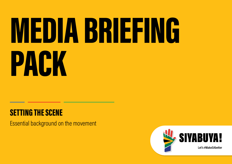# MEDIA BRIEFING PACK

### SETTING THE SCENE

Essential background on the movement

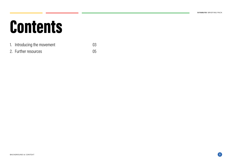### **Contents**

### 1. Introducing the movement 03

2. Further resources 05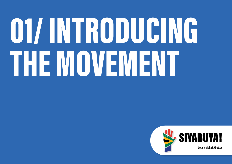# OTAINTRODUCING THE MOVEMENT

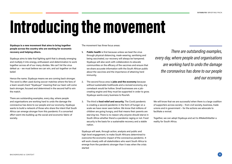### Introducing the movement

Siyabuya is a new movement that aims to bring together people across the country who are working for economic recovery and helping others.

Siyabuya aims to take that fighting spirit that is already emerging and multiply it into energy, enthusiasm and determination to work together across all of our many divides. We can't let the virus defeat us – we must believe we can win, and act together on that belief.

Hence the name. Siyabuya means we are coming back stronger. The word is often used during soccer matches where the fans of a team would chant "Siyabuya!" meaning that our team will come back stronger, focused and determined in the second half to win the match.

There are outstanding examples, every day, where people and organisations are working hard to undo the damage the coronavirus has done to our people and our economy. Siyabuya wants to build a network of those who share the intent that South Africa can emerge stronger from this pandemic if a concerted effort went into building up the social and economic fabric of society.

The movement has three focus areas:

- 1. Public health is first because unless we beat the virus through physical distancing, mask-wearing, sanitising and being vaccinated, our recovery will always be hampered. Siyabuya will also work with collaborators to educate communities on the efficacy of the vaccines and ensure that we share accurate information with the South African public about the vaccines and the importance of attaining herd immunity.
- 2. The second focus area is **jobs and the economy** because without sustainable livelihoods and a revived economy, any comeback would be hollow. Small businesses are a jobcreating engine and they must be supported in order to grow. Siyabuya wants every business to flourish.
- 3. The third is food relief and security. The Covid pandemic is creating a second pandemic in the form of hunger on a scale we have never seen before. We know that millions of children are going hungry, and that means their parents are starving too. There is no reason why anyone should starve in South Africa whether there's a pandemic raging or not. Food security is the basis for a sustainable recovery and a stable nation.

Siyabuya will seek, through action, analysis and public and high-level engagement, to make South Africans determined to overcome the economic impact of the coronavirus pandemic. It will work closely with all stakeholders who want South Africa to emerge from the pandemic stronger than it was when the crisis started

There are outstanding examples, every day, where people and organisations are working hard to undo the damage the coronavirus has done to our people and our economy.

We will know that we are successful when there is a large coalition of supporters across society – from civil society, business, trade unions and in government – for the actions we advocate to facilitate a revival.

Together, we can adopt Siyabuya and act to #MakeSAbetter a reality for South Africa.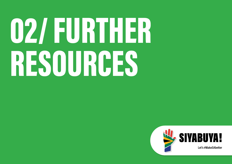# 02/EURTHER RESOURCES

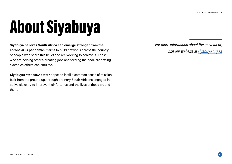# About Siyabuya

Siyabuya believes South Africa can emerge stronger from the coronavirus pandemic. It aims to build networks across the country of people who share this belief and are working to achieve it. Those who are helping others, creating jobs and feeding the poor, are setting examples others can emulate.

Siyabuya! #MakeSAbetter hopes to instil a common sense of mission, built from the ground up, through ordinary South Africans engaged in active citizenry to improve their fortunes and the lives of those around them.

For more information about the movement, visit our website at [siyabuya.org.za](http://siyabuya.org.za)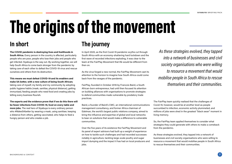## The origins of the movement

The COVID pandemic is destroying lives and livelihoods in South Africa. Every person in the country is affected, particularly people who are poor, people who lose their jobs and people who get infected. Siyabuya is the way out. By working together, we will help South Africa to come back stronger from the pandemic by taking care of each other to defeat the COVID-19 virus and rescue ourselves and others from its destruction.

This means we must defeat COVID-19 and its enablers and make SA better, with a new culture of being South African; taking care of myself, my family and my community by adopting public hygiene habits (mask, sanitise, physical distance), getting immunised, feeding people who need food and creating jobs by letting every business flourish.

The experts and the evidence prove that if we do this there will be fewer infections from COVID-19, food on every table and more jobs. The real hero of Siyabuya is every ordinary person who #MakeSAbetter by wearing a mask, using sanitiser, keeping a distance from others, getting vaccinated, who helps to feed a hungry person and who creates a job.

### In short The journey

In April 2020, as the first Covid-19 pandemic scythe cut through South Africa with an economy-shattering hard lockdown and the first wave of recorded infections exploding, it was clear to the team at the FairPlay Movement that life would be different from then on.

As the virus forged a new normal, the FairPlay Movement cast its attention to the horizon to imagine how South Africa could come back from the ravages of the pandemic.

FairPlay, founded in October 2016 by Francois Baird, a South African-born entrepreneur, had until then focused its attention on building alliances with organisations to promote strategies to defend communities made vulnerable by predatory trade practices.

Baird, a founder of Baird's CMC, an international communications management consultancy, and former Africa chairman of Edelman, the world's largest public relations company, aimed to bring the influence and expertise of global and local networks to bear on solutions that would make a difference to vulnerable communities.

Over the five years of its existence the FairPlay Movement and its panel of expert advisors had built up a weight of experience on how to tackle such challenges and had recorded successes notably in agriculture, tackling large-scale poultry and sugar import dumping and the impact it has had on local producers and jobs.

As these strategies evolved, they tapped into a network of businesses and civil society organisations who were willing to resource a movement that would mobilise people in South Africa to rescue themselves and their communities.

The FairPlay team quickly realised that the challenges of Covid-19, however, would be at another level as people succumbed to infection, economic activity plummeted, and millions of jobs were shed in the greatest "black swan" moment in living memory.

So, the FairPlay team applied themselves to consider what strategies they could generate with others to make a comeback from the pandemic.

As these strategies evolved, they tapped into a network of businesses and civil society organisations who were willing to resource a movement that would mobilise people in South Africa to rescue themselves and their communities.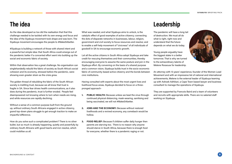As the idea developed so too did the realisation that that this challenge needed to be tackled with its own energy and focus and the idea of the Siyabuya movement took shape and was born. The Siyabuya movement encourages the people to #MakeSAbetter.

#Siyabuya is building a network of those with shared intent and a powerful but simple idea: that South Africa could emerge out of the pandemic better if a concerted effort went into building up the social and economic fabric of society.

Within that observation lies a great challenge. No organisation can singlehandedly rebuild the fabric of society as South Africa's social cohesion and its economy, stressed before the pandemic, were showing even greater strain as the crisis grew.

The golden thread of rebuilding the fabric of the South African society is instilling trust, because we all know that trust is fragile in SA. Since fear drives health communications, as it also does during the pandemic, trust is further eroded. People feel disempowered not knowing where to turn when needs are rising, and while resources are rapidly declining.

Without a sense of a common purpose built from the ground up, without ordinary South Africans engaged in active citizenry, grand top-down plans struggle to get enough traction to make an impactful difference.

How do you solve such a complicated problem? There is no silver bullet, but so much is already happening, quietly and powerfully by ordinary South Africans with good hearts and iron resolve, which could mobilise us all.

What was needed, and what Siyabuya aims to unlock, is the catalytic effect of good examples of active citizenry; connecting the dots of disparate networks in businesses, labour, religion, government and civil society to focus resources and resolve; and to enable a self-help movement of "civicness" of all individuals of goodwill in SA to encourage economic growth.

Let all the active citizens in South Africa adopt Siyabuya and take credit for rescuing themselves and their communities, thereby encouraging everyone to assume the same posture and join in the Siyabuya effort. By convening on the basis of a shared purpose and a common vision, Siyabuya builds trust in the socio-economic fabric of community-based active citizenry and the bonds between civic institutions.

Having consulted with experts about the most urgent lives and livelihood focus areas, Siyabuya decided to focus on a threepronged approach-

- 1. PUBLIC HEALTH: Because unless we beat the virus through continued physical distancing, mask-wearing, sanitising and being vaccinated, we will not #MakeSAbetter.
- 2. JOBS AND THE ECONOMY: Because without restored livelihoods and a revived economy, any comeback would be hollow.
- 3. FOOD RELIEF: Because if children suffer daily hunger then parents are starving too. There is no reason why anyone should starve in South Africa, because there is enough food for everyone, whether there is a pandemic raging or not.

### The idea Leadership

The pandemic will have a long tail of destruction. We must all do what is right, right now and understand that the future depends on what we do today.

Young people arguably have the biggest stake in a better tomorrow. That is why we turned to the extraordinary talents of Melene Rossouw for leadership.

An attorney with 13 years' experience, founder of the Women Lead Movement and with an impressive list of national and international achievements, Melene is the external leader of Siyabuya teaming up with Ashoek Adhikari, a Cape Town based lawyer and business consultant to manage the operations of Siyabuya.

They are supported by Francois Baird and a team of volunteers and recruits with appropriate skills. There are no salaried staff working on Siyabuya.

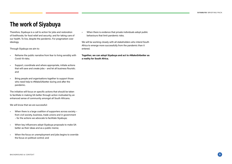### The work of Siyabuya

Therefore, Siyabuya is a call to action for jobs and restoration of livelihoods; for food relief and security; and for taking care of our health. To live, despite the pandemic. For pragmatism over ideology.

Through Siyabuya we aim to:

- Reframe the public narrative from fear to living sensibly with Covid-19 risks;
- Support, coordinate and where appropriate, initiate actions that will save and create jobs – and let all business flourish; and
- Bring people and organisations together to support those who need help to #MakeSAbetter during and after the pandemic.

The initiative will focus on specific actions that should be taken to facilitate in making SA better through action motivated by an enhanced sense of community amongst all South Africans.

We will know that we are successful:

- When there is a large coalition of supporters across society from civil society, business, trade unions and in government – for the actions we advocate to facilitate Siyabuya;
- When key influencers adopt Siyabuya proposals to make SA better as their ideas and as a public meme;
- When the focus on unemployment and jobs begins to override the focus on political control; and

• When there is evidence that private individuals adopt public behaviours that limit pandemic risks.

We will be working closely with all stakeholders who intend South Africa to emerge more successfully from the pandemic than it entered.

Together, we can adopt Siyabuya and act to #MakeSAbetter as a reality for South Africa.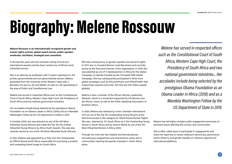## Biography: Melene Rossouw

Melene Rossouw is an internationally recognised gender and human rights activist, global award winner, public speaker, moderator, facilitator, strategist and consultant.

In the last few years she has received a string of local and international awards and has been named one of Africa's most influential women.

She is an attorney by profession with 13 years' experience in the private, governmental and non-governmental sectors. Melene graduated from the University of the Western Cape with a Bachelor of Laws (LL.B) and Master of Laws (LL.M) specialising in the area of Public and Constitutional Law.

Melene has served in respected offices such as the Constitutional Court of South Africa, Western Cape High Court, the Presidency of South Africa and two national government ministries.

Her accolades include being selected by the prestigious Obama Foundation as an Obama Leader in Africa (2018) and as a Mandela Washington Fellow by the US Department of State in 2019.

In October 2020, she was selected as one of the 100 Most Influential Young Africans and made the Top Ten list of Most Influential Young Africans by Africa Youth Awards. She was also recently named as one of the 100 Most Influential South Africans.

In 2021, Melene was appointed as a Play Your Part Ambassador by Official Brand South Africa responsible for promoting a positive and compelling brand image for South Africa.

She has a strong focus on gender equality and women's rights. In 2017, she co-founded Women Lead Movement and currently serves as the Executive Director of the organisation. In 2019, she was selected as one of 11 Spokeswomen in Africa for the Global Campaign on Gender Equality by the US based ONE Global Campaign. She has subsequently participated in three more global campaigns such as #YoursInPower and #PassTheMic that respectively reached more than 750 000 and 250 million people globally.

Melene is also a member of the African Women Leadership Network, which is a movement supported by UN Women and the African Union as well as the Public Speaking Association of Southern Africa.

In 2020, Melene was selected by Junior Chamber International (JCI) as one of the Top Ten Outstanding Young Persons of the World honourees in the category for World Peace/Human Rights. She was selected by JCI South Africa as a Top Outstanding Young Person in South Africa and by Avance Media as one of the 100 Most Influential Women in Africa 2020.

Through her work she has initiated and led educational and advocacy programmes and interventions online and in communities reaching thousands of people in South Africa alone.

Melene has served in respected offices such as the Constitutional Court of South Africa, Western Cape High Court, the Presidency of South Africa and two national government ministries... Her accolades include being selected by the prestigious Obama Foundation as an Obama Leader in Africa (2018) and as a Mandela Washington Fellow by the US Department of State in 2019.

Melene has led highly complex public engagement processes on pertinent issues affecting the country and communities.

She is often called upon to participate in engagements and share her expertise on issues relating to democracy, governance, active citizenry, and gender equality on national, regional and international platforms.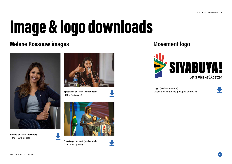## Image & logo downloads

### Melene Rossouw images Movement logo



Studio portrait (vertical) (1343 x 2015 pixels)



Speaking portrait (horizontal) (940 x 640 pixels)



On-stage portrait (horizontal) (1280 x 853 pixels)



Logo (various options) (Available as high-res jpeg, png and PDF)

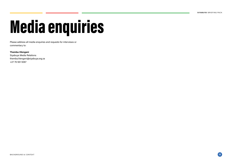# Media enquiries

Please address all media enquiries and requests for interviews or commentary to:

### Themba Hlengani

Siyabuya Media Relations themba.hlengani@siyabuya.org.za +27 76 561 5067